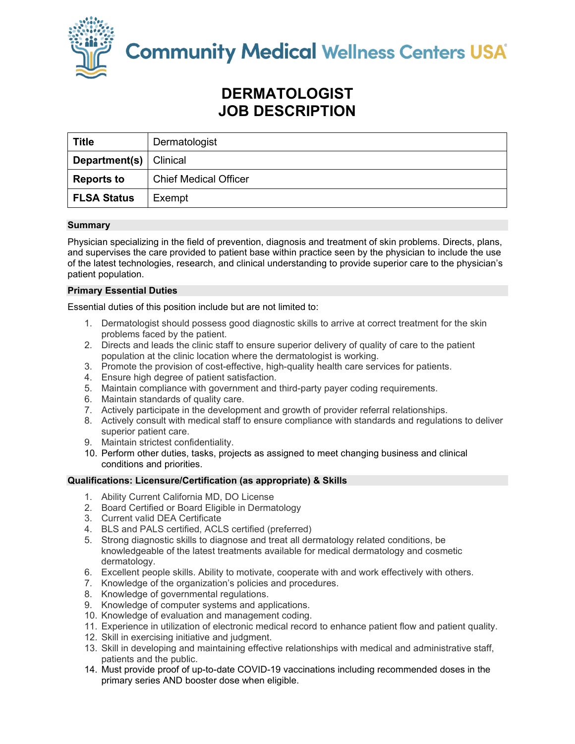

**Community Medical Wellness Centers USA** 

# **DERMATOLOGIST JOB DESCRIPTION**

| <b>Title</b>                    | Dermatologist                |
|---------------------------------|------------------------------|
| <b>Department(s)</b>   Clinical |                              |
| <b>Reports to</b>               | <b>Chief Medical Officer</b> |
| <b>FLSA Status</b>              | Exempt                       |

# **Summary**

Physician specializing in the field of prevention, diagnosis and treatment of skin problems. Directs, plans, and supervises the care provided to patient base within practice seen by the physician to include the use of the latest technologies, research, and clinical understanding to provide superior care to the physician's patient population.

# **Primary Essential Duties**

Essential duties of this position include but are not limited to:

- 1. Dermatologist should possess good diagnostic skills to arrive at correct treatment for the skin problems faced by the patient.
- 2. Directs and leads the clinic staff to ensure superior delivery of quality of care to the patient population at the clinic location where the dermatologist is working.
- 3. Promote the provision of cost-effective, high-quality health care services for patients.
- 4. Ensure high degree of patient satisfaction.
- 5. Maintain compliance with government and third-party payer coding requirements.
- 6. Maintain standards of quality care.
- 7. Actively participate in the development and growth of provider referral relationships.
- 8. Actively consult with medical staff to ensure compliance with standards and regulations to deliver superior patient care.
- 9. Maintain strictest confidentiality.
- 10. Perform other duties, tasks, projects as assigned to meet changing business and clinical conditions and priorities.

## **Qualifications: Licensure/Certification (as appropriate) & Skills**

- 1. Ability Current California MD, DO License
- 2. Board Certified or Board Eligible in Dermatology
- 3. Current valid DEA Certificate
- 4. BLS and PALS certified, ACLS certified (preferred)
- 5. Strong diagnostic skills to diagnose and treat all dermatology related conditions, be knowledgeable of the latest treatments available for medical dermatology and cosmetic dermatology.
- 6. Excellent people skills. Ability to motivate, cooperate with and work effectively with others.
- 7. Knowledge of the organization's policies and procedures.
- 8. Knowledge of governmental regulations.
- 9. Knowledge of computer systems and applications.
- 10. Knowledge of evaluation and management coding.
- 11. Experience in utilization of electronic medical record to enhance patient flow and patient quality.
- 12. Skill in exercising initiative and judgment.
- 13. Skill in developing and maintaining effective relationships with medical and administrative staff, patients and the public.
- 14. Must provide proof of up-to-date COVID-19 vaccinations including recommended doses in the primary series AND booster dose when eligible.